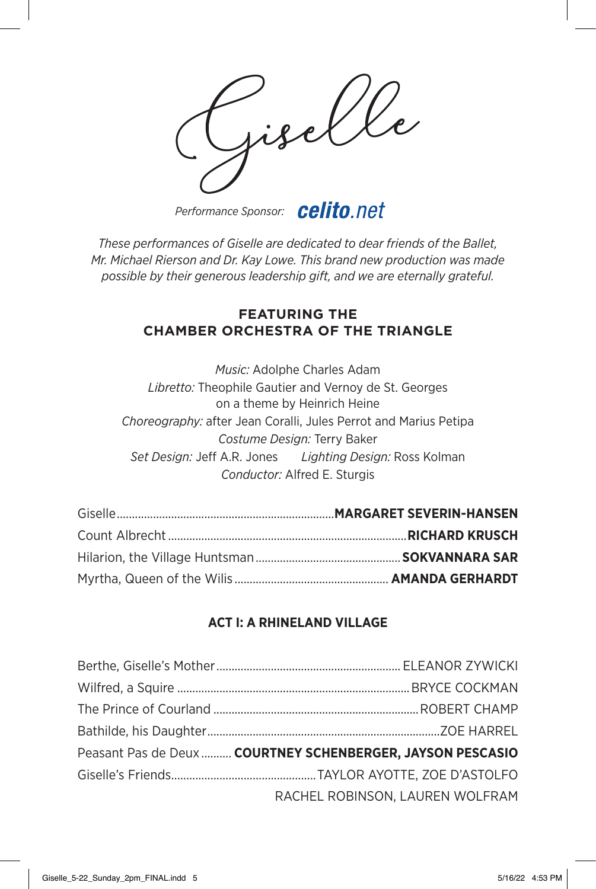*Performance Sponsor:*

*These performances of Giselle are dedicated to dear friends of the Ballet, Mr. Michael Rierson and Dr. Kay Lowe. This brand new production was made possible by their generous leadership gift, and we are eternally grateful.*

## **FEATURING THE CHAMBER ORCHESTRA OF THE TRIANGLE**

*Music:* Adolphe Charles Adam *Libretto:* Theophile Gautier and Vernoy de St. Georges on a theme by Heinrich Heine *Choreography:* after Jean Coralli, Jules Perrot and Marius Petipa *Costume Design:* Terry Baker *Set Design:* Jeff A.R. Jones *Lighting Design:* Ross Kolman *Conductor:* Alfred E. Sturgis

## **ACT I: A RHINELAND VILLAGE**

| Peasant Pas de Deux  COURTNEY SCHENBERGER, JAYSON PESCASIO |
|------------------------------------------------------------|
|                                                            |
| RACHEL ROBINSON, LAUREN WOLFRAM                            |